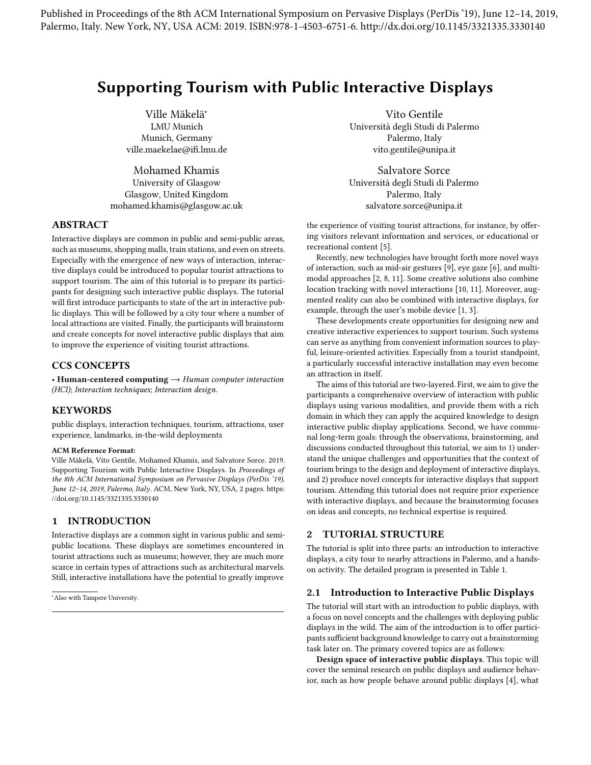Published in Proceedings of the 8th ACM International Symposium on Pervasive Displays (PerDis '19), June 12–14, 2019, Palermo, Italy. New York, NY, USA ACM: 2019. ISBN:978-1-4503-6751-6. http://dx.doi.org/10.1145/3321335.3330140

# Supporting Tourism with Public Interactive Displays

Ville Mäkelä<sup>∗</sup> LMU Munich Munich, Germany ville.maekelae@ifi.lmu.de

Mohamed Khamis University of Glasgow Glasgow, United Kingdom mohamed.khamis@glasgow.ac.uk

# ABSTRACT

Interactive displays are common in public and semi-public areas, such as museums, shopping malls, train stations, and even on streets. Especially with the emergence of new ways of interaction, interactive displays could be introduced to popular tourist attractions to support tourism. The aim of this tutorial is to prepare its participants for designing such interactive public displays. The tutorial will first introduce participants to state of the art in interactive public displays. This will be followed by a city tour where a number of local attractions are visited. Finally, the participants will brainstorm and create concepts for novel interactive public displays that aim to improve the experience of visiting tourist attractions.

# CCS CONCEPTS

• Human-centered computing  $\rightarrow$  Human computer interaction (HCI); Interaction techniques; Interaction design.

## KEYWORDS

public displays, interaction techniques, tourism, attractions, user experience, landmarks, in-the-wild deployments

#### ACM Reference Format:

Ville Mäkelä, Vito Gentile, Mohamed Khamis, and Salvatore Sorce. 2019. Supporting Tourism with Public Interactive Displays. In Proceedings of the 8th ACM International Symposium on Pervasive Displays (PerDis '19), June 12–14, 2019, Palermo, Italy. ACM, New York, NY, USA, [2](#page-1-0) pages. [https:](https://doi.org/10.1145/3321335.3330140) [//doi.org/10.1145/3321335.3330140](https://doi.org/10.1145/3321335.3330140)

# 1 INTRODUCTION

Interactive displays are a common sight in various public and semipublic locations. These displays are sometimes encountered in tourist attractions such as museums; however, they are much more scarce in certain types of attractions such as architectural marvels. Still, interactive installations have the potential to greatly improve

Vito Gentile Università degli Studi di Palermo Palermo, Italy vito.gentile@unipa.it

Salvatore Sorce Università degli Studi di Palermo Palermo, Italy salvatore.sorce@unipa.it

the experience of visiting tourist attractions, for instance, by offering visitors relevant information and services, or educational or recreational content [\[5\]](#page-1-1).

Recently, new technologies have brought forth more novel ways of interaction, such as mid-air gestures [\[9\]](#page-1-2), eye gaze [\[6\]](#page-1-3), and multimodal approaches [\[2,](#page-1-4) [8,](#page-1-5) [11\]](#page-1-6). Some creative solutions also combine location tracking with novel interactions [\[10,](#page-1-7) [11\]](#page-1-6). Moreover, augmented reality can also be combined with interactive displays, for example, through the user's mobile device [\[1,](#page-1-8) [3\]](#page-1-9).

These developments create opportunities for designing new and creative interactive experiences to support tourism. Such systems can serve as anything from convenient information sources to playful, leisure-oriented activities. Especially from a tourist standpoint, a particularly successful interactive installation may even become an attraction in itself.

The aims of this tutorial are two-layered. First, we aim to give the participants a comprehensive overview of interaction with public displays using various modalities, and provide them with a rich domain in which they can apply the acquired knowledge to design interactive public display applications. Second, we have communal long-term goals: through the observations, brainstorming, and discussions conducted throughout this tutorial, we aim to 1) understand the unique challenges and opportunities that the context of tourism brings to the design and deployment of interactive displays, and 2) produce novel concepts for interactive displays that support tourism. Attending this tutorial does not require prior experience with interactive displays, and because the brainstorming focuses on ideas and concepts, no technical expertise is required.

## 2 TUTORIAL STRUCTURE

The tutorial is split into three parts: an introduction to interactive displays, a city tour to nearby attractions in Palermo, and a handson activity. The detailed program is presented in Table [1.](#page-1-10)

#### 2.1 Introduction to Interactive Public Displays

The tutorial will start with an introduction to public displays, with a focus on novel concepts and the challenges with deploying public displays in the wild. The aim of the introduction is to offer participants sufficient background knowledge to carry out a brainstorming task later on. The primary covered topics are as follows:

Design space of interactive public displays. This topic will cover the seminal research on public displays and audience behavior, such as how people behave around public displays [\[4\]](#page-1-11), what

<sup>∗</sup>Also with Tampere University.